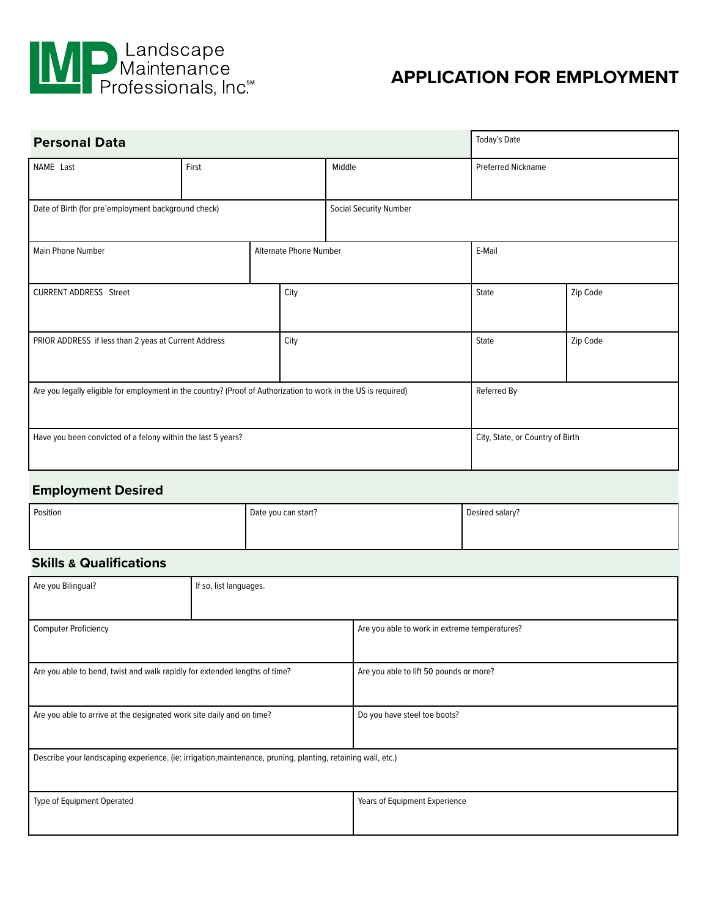

# **APPLICATION FOR EMPLOYMENT**

| <b>Personal Data</b>                                                                                           |       |      |                        | Today's Date |                                  |  |
|----------------------------------------------------------------------------------------------------------------|-------|------|------------------------|--------------|----------------------------------|--|
| NAME Last                                                                                                      | First |      | Middle                 |              | <b>Preferred Nickname</b>        |  |
| Date of Birth (for pre'employment background check)                                                            |       |      | Social Security Number |              |                                  |  |
| <b>Alternate Phone Number</b><br><b>Main Phone Number</b>                                                      |       |      | E-Mail                 |              |                                  |  |
| <b>CURRENT ADDRESS Street</b>                                                                                  |       | City |                        | State        | Zip Code                         |  |
| PRIOR ADDRESS if less than 2 yeas at Current Address<br>City                                                   |       |      |                        | State        | Zip Code                         |  |
| Are you legally eligible for employment in the country? (Proof of Authorization to work in the US is required) |       |      | Referred By            |              |                                  |  |
| Have you been convicted of a felony within the last 5 years?                                                   |       |      |                        |              | City, State, or Country of Birth |  |

### **Employment Desired**

| Position | Date you can start? | Desired salary? |
|----------|---------------------|-----------------|
|          |                     |                 |

## **Skills & Qualifications**

| Are you Bilingual?                                                                                           | If so, list languages. |                                               |  |
|--------------------------------------------------------------------------------------------------------------|------------------------|-----------------------------------------------|--|
|                                                                                                              |                        |                                               |  |
| <b>Computer Proficiency</b>                                                                                  |                        | Are you able to work in extreme temperatures? |  |
|                                                                                                              |                        |                                               |  |
| Are you able to bend, twist and walk rapidly for extended lengths of time?                                   |                        | Are you able to lift 50 pounds or more?       |  |
|                                                                                                              |                        |                                               |  |
| Are you able to arrive at the designated work site daily and on time?                                        |                        | Do you have steel toe boots?                  |  |
|                                                                                                              |                        |                                               |  |
| Describe your landscaping experience. (ie: irrigation, maintenance, pruning, planting, retaining wall, etc.) |                        |                                               |  |
|                                                                                                              |                        |                                               |  |
| Type of Equipment Operated                                                                                   |                        | Years of Equipment Experience                 |  |
|                                                                                                              |                        |                                               |  |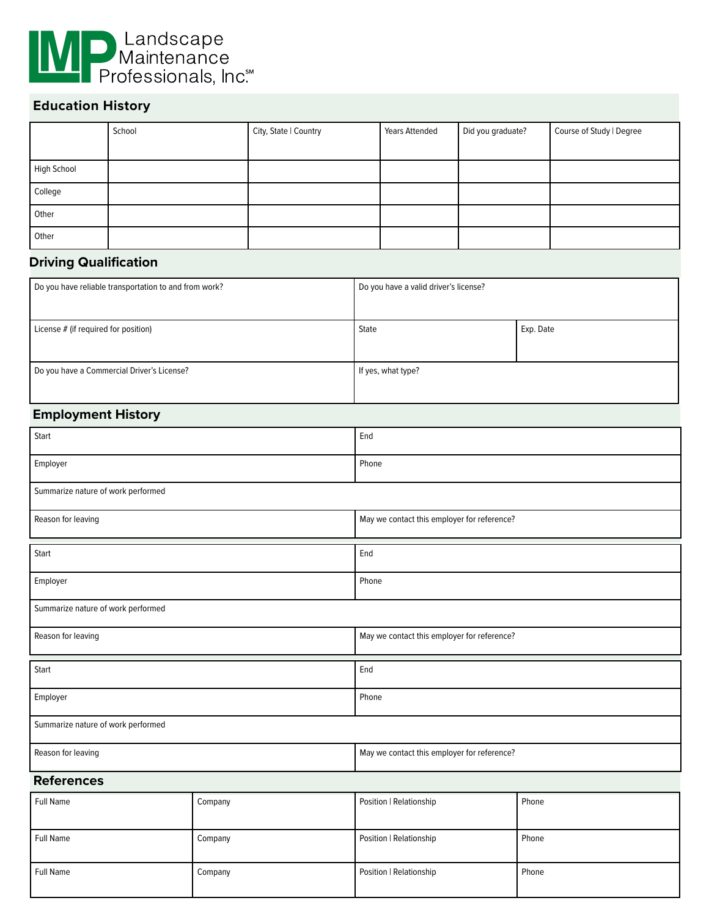

## **Education History**

|             | School | City, State   Country | <b>Years Attended</b> | Did you graduate? | Course of Study   Degree |
|-------------|--------|-----------------------|-----------------------|-------------------|--------------------------|
| High School |        |                       |                       |                   |                          |
| College     |        |                       |                       |                   |                          |
| Other       |        |                       |                       |                   |                          |
| Other       |        |                       |                       |                   |                          |

### **Driving Qualification**

| Do you have reliable transportation to and from work? | Do you have a valid driver's license? |           |
|-------------------------------------------------------|---------------------------------------|-----------|
|                                                       |                                       |           |
| License # (if required for position)                  | State                                 | Exp. Date |
| Do you have a Commercial Driver's License?            | If yes, what type?                    |           |

#### **Employment History**

| Start                              |             | End                                         |       |  |
|------------------------------------|-------------|---------------------------------------------|-------|--|
| Employer                           |             | Phone                                       |       |  |
| Summarize nature of work performed |             |                                             |       |  |
| Reason for leaving                 |             | May we contact this employer for reference? |       |  |
| Start                              |             | End                                         |       |  |
| Employer                           |             | Phone                                       |       |  |
| Summarize nature of work performed |             |                                             |       |  |
| Reason for leaving                 |             | May we contact this employer for reference? |       |  |
| Start                              |             | End                                         |       |  |
| Employer                           |             | Phone                                       |       |  |
| Summarize nature of work performed |             |                                             |       |  |
| Reason for leaving                 |             | May we contact this employer for reference? |       |  |
| <b>References</b>                  |             |                                             |       |  |
| <b>Full Magazine</b>               | $C$ and $C$ | Desition   Deletionalista                   | Dhana |  |

| Full Name | Company | Position   Relationship | Phone |
|-----------|---------|-------------------------|-------|
| Full Name | Company | Position   Relationship | Phone |
| Full Name | Company | Position   Relationship | Phone |